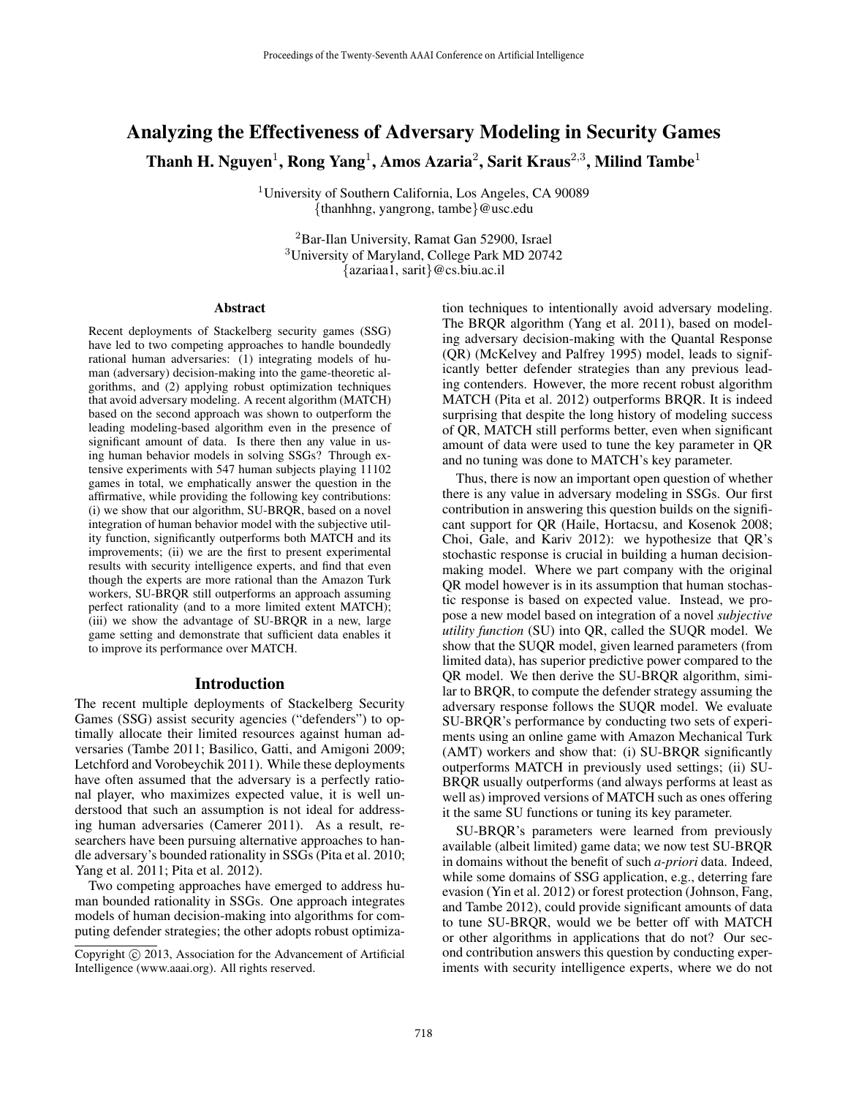# Analyzing the Effectiveness of Adversary Modeling in Security Games Thanh H. Nguyen $^1$ , Rong Yang $^1$ , Amos Azaria $^2$ , Sarit Kraus $^{2,3}$ , Milind Tambe $^1$

<sup>1</sup>University of Southern California, Los Angeles, CA 90089 {thanhhng, yangrong, tambe}@usc.edu

<sup>2</sup>Bar-Ilan University, Ramat Gan 52900, Israel <sup>3</sup>University of Maryland, College Park MD 20742 {azariaa1, sarit}@cs.biu.ac.il

#### Abstract

Recent deployments of Stackelberg security games (SSG) have led to two competing approaches to handle boundedly rational human adversaries: (1) integrating models of human (adversary) decision-making into the game-theoretic algorithms, and (2) applying robust optimization techniques that avoid adversary modeling. A recent algorithm (MATCH) based on the second approach was shown to outperform the leading modeling-based algorithm even in the presence of significant amount of data. Is there then any value in using human behavior models in solving SSGs? Through extensive experiments with 547 human subjects playing 11102 games in total, we emphatically answer the question in the affirmative, while providing the following key contributions: (i) we show that our algorithm, SU-BRQR, based on a novel integration of human behavior model with the subjective utility function, significantly outperforms both MATCH and its improvements; (ii) we are the first to present experimental results with security intelligence experts, and find that even though the experts are more rational than the Amazon Turk workers, SU-BRQR still outperforms an approach assuming perfect rationality (and to a more limited extent MATCH); (iii) we show the advantage of SU-BRQR in a new, large game setting and demonstrate that sufficient data enables it to improve its performance over MATCH.

#### Introduction

The recent multiple deployments of Stackelberg Security Games (SSG) assist security agencies ("defenders") to optimally allocate their limited resources against human adversaries (Tambe 2011; Basilico, Gatti, and Amigoni 2009; Letchford and Vorobeychik 2011). While these deployments have often assumed that the adversary is a perfectly rational player, who maximizes expected value, it is well understood that such an assumption is not ideal for addressing human adversaries (Camerer 2011). As a result, researchers have been pursuing alternative approaches to handle adversary's bounded rationality in SSGs (Pita et al. 2010; Yang et al. 2011; Pita et al. 2012).

Two competing approaches have emerged to address human bounded rationality in SSGs. One approach integrates models of human decision-making into algorithms for computing defender strategies; the other adopts robust optimization techniques to intentionally avoid adversary modeling. The BRQR algorithm (Yang et al. 2011), based on modeling adversary decision-making with the Quantal Response (QR) (McKelvey and Palfrey 1995) model, leads to significantly better defender strategies than any previous leading contenders. However, the more recent robust algorithm MATCH (Pita et al. 2012) outperforms BRQR. It is indeed surprising that despite the long history of modeling success of QR, MATCH still performs better, even when significant amount of data were used to tune the key parameter in QR and no tuning was done to MATCH's key parameter.

Thus, there is now an important open question of whether there is any value in adversary modeling in SSGs. Our first contribution in answering this question builds on the significant support for QR (Haile, Hortacsu, and Kosenok 2008; Choi, Gale, and Kariv 2012): we hypothesize that QR's stochastic response is crucial in building a human decisionmaking model. Where we part company with the original QR model however is in its assumption that human stochastic response is based on expected value. Instead, we propose a new model based on integration of a novel *subjective utility function* (SU) into QR, called the SUQR model. We show that the SUQR model, given learned parameters (from limited data), has superior predictive power compared to the QR model. We then derive the SU-BRQR algorithm, similar to BRQR, to compute the defender strategy assuming the adversary response follows the SUQR model. We evaluate SU-BRQR's performance by conducting two sets of experiments using an online game with Amazon Mechanical Turk (AMT) workers and show that: (i) SU-BRQR significantly outperforms MATCH in previously used settings; (ii) SU-BRQR usually outperforms (and always performs at least as well as) improved versions of MATCH such as ones offering it the same SU functions or tuning its key parameter.

SU-BRQR's parameters were learned from previously available (albeit limited) game data; we now test SU-BRQR in domains without the benefit of such *a-priori* data. Indeed, while some domains of SSG application, e.g., deterring fare evasion (Yin et al. 2012) or forest protection (Johnson, Fang, and Tambe 2012), could provide significant amounts of data to tune SU-BRQR, would we be better off with MATCH or other algorithms in applications that do not? Our second contribution answers this question by conducting experiments with security intelligence experts, where we do not

Copyright  $\odot$  2013, Association for the Advancement of Artificial Intelligence (www.aaai.org). All rights reserved.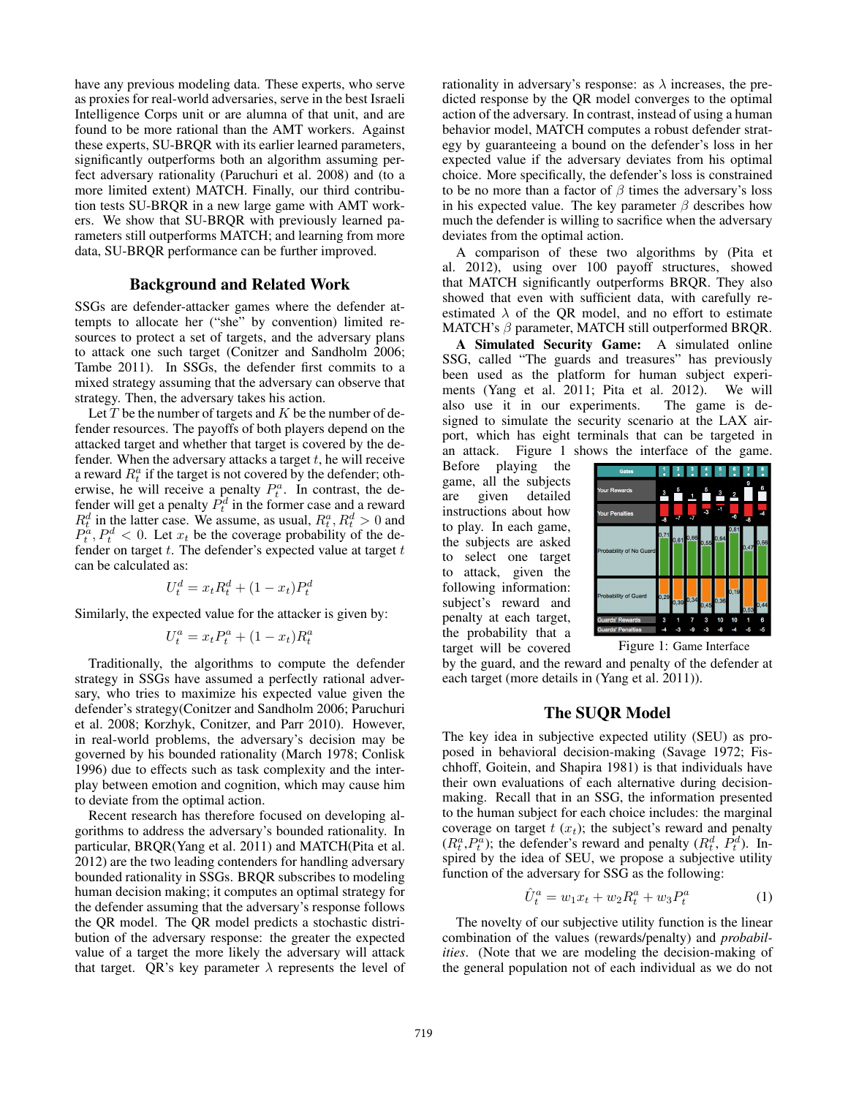have any previous modeling data. These experts, who serve as proxies for real-world adversaries, serve in the best Israeli Intelligence Corps unit or are alumna of that unit, and are found to be more rational than the AMT workers. Against these experts, SU-BRQR with its earlier learned parameters, significantly outperforms both an algorithm assuming perfect adversary rationality (Paruchuri et al. 2008) and (to a more limited extent) MATCH. Finally, our third contribution tests SU-BRQR in a new large game with AMT workers. We show that SU-BRQR with previously learned parameters still outperforms MATCH; and learning from more data, SU-BRQR performance can be further improved.

#### Background and Related Work

SSGs are defender-attacker games where the defender attempts to allocate her ("she" by convention) limited resources to protect a set of targets, and the adversary plans to attack one such target (Conitzer and Sandholm 2006; Tambe 2011). In SSGs, the defender first commits to a mixed strategy assuming that the adversary can observe that strategy. Then, the adversary takes his action.

Let  $T$  be the number of targets and  $K$  be the number of defender resources. The payoffs of both players depend on the attacked target and whether that target is covered by the defender. When the adversary attacks a target  $t$ , he will receive a reward  $R_t^a$  if the target is not covered by the defender; otherwise, he will receive a penalty  $P_t^a$ . In contrast, the defender will get a penalty  $P_t^d$  in the former case and a reward  $R_t^d$  in the latter case. We assume, as usual,  $R_t^a, R_t^d > 0$  and  $P_t^{\alpha}, P_t^d < 0$ . Let  $x_t$  be the coverage probability of the defender on target  $t$ . The defender's expected value at target  $t$ can be calculated as:

$$
U_t^d = x_t R_t^d + (1 - x_t) P_t^d
$$

Similarly, the expected value for the attacker is given by:

$$
U_t^a = x_t P_t^a + (1 - x_t) R_t^a
$$

Traditionally, the algorithms to compute the defender strategy in SSGs have assumed a perfectly rational adversary, who tries to maximize his expected value given the defender's strategy(Conitzer and Sandholm 2006; Paruchuri et al. 2008; Korzhyk, Conitzer, and Parr 2010). However, in real-world problems, the adversary's decision may be governed by his bounded rationality (March 1978; Conlisk 1996) due to effects such as task complexity and the interplay between emotion and cognition, which may cause him to deviate from the optimal action.

Recent research has therefore focused on developing algorithms to address the adversary's bounded rationality. In particular, BRQR(Yang et al. 2011) and MATCH(Pita et al. 2012) are the two leading contenders for handling adversary bounded rationality in SSGs. BRQR subscribes to modeling human decision making; it computes an optimal strategy for the defender assuming that the adversary's response follows the QR model. The QR model predicts a stochastic distribution of the adversary response: the greater the expected value of a target the more likely the adversary will attack that target. QR's key parameter  $\lambda$  represents the level of rationality in adversary's response: as  $\lambda$  increases, the predicted response by the QR model converges to the optimal action of the adversary. In contrast, instead of using a human behavior model, MATCH computes a robust defender strategy by guaranteeing a bound on the defender's loss in her expected value if the adversary deviates from his optimal choice. More specifically, the defender's loss is constrained to be no more than a factor of  $\beta$  times the adversary's loss in his expected value. The key parameter  $\beta$  describes how much the defender is willing to sacrifice when the adversary deviates from the optimal action.

A comparison of these two algorithms by (Pita et al. 2012), using over 100 payoff structures, showed that MATCH significantly outperforms BRQR. They also showed that even with sufficient data, with carefully reestimated  $\lambda$  of the QR model, and no effort to estimate MATCH's  $\beta$  parameter, MATCH still outperformed BRQR.

A Simulated Security Game: A simulated online SSG, called "The guards and treasures" has previously been used as the platform for human subject experiments (Yang et al. 2011; Pita et al. 2012). We will also use it in our experiments. The game is designed to simulate the security scenario at the LAX airport, which has eight terminals that can be targeted in an attack. Figure 1 shows the interface of the game.

Before playing the game, all the subjects are given detailed instructions about how to play. In each game, the subjects are asked to select one target to attack, given the following information: subject's reward and penalty at each target, the probability that a target will be covered



Figure 1: Game Interface

by the guard, and the reward and penalty of the defender at each target (more details in (Yang et al. 2011)).

### The SUQR Model

The key idea in subjective expected utility (SEU) as proposed in behavioral decision-making (Savage 1972; Fischhoff, Goitein, and Shapira 1981) is that individuals have their own evaluations of each alternative during decisionmaking. Recall that in an SSG, the information presented to the human subject for each choice includes: the marginal coverage on target  $t(x_t)$ ; the subject's reward and penalty  $(R_t^a, P_t^{\bar{a}})$ ; the defender's reward and penalty  $(R_t^d, P_t^{\bar{d}})$ . Inspired by the idea of SEU, we propose a subjective utility function of the adversary for SSG as the following:

$$
\hat{U}_t^a = w_1 x_t + w_2 R_t^a + w_3 P_t^a \tag{1}
$$

The novelty of our subjective utility function is the linear combination of the values (rewards/penalty) and *probabilities*. (Note that we are modeling the decision-making of the general population not of each individual as we do not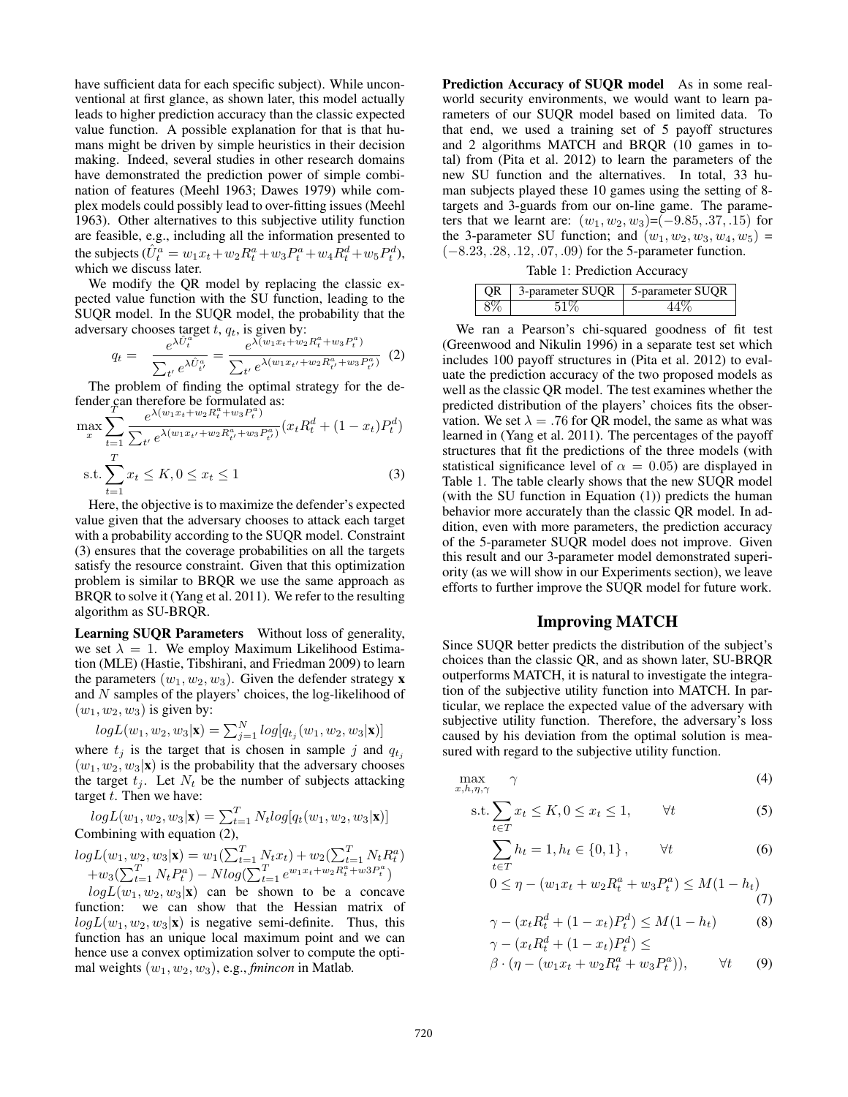have sufficient data for each specific subject). While unconventional at first glance, as shown later, this model actually leads to higher prediction accuracy than the classic expected value function. A possible explanation for that is that humans might be driven by simple heuristics in their decision making. Indeed, several studies in other research domains have demonstrated the prediction power of simple combination of features (Meehl 1963; Dawes 1979) while complex models could possibly lead to over-fitting issues (Meehl 1963). Other alternatives to this subjective utility function are feasible, e.g., including all the information presented to the subjects  $(\hat{U}_t^a = w_1 x_t + w_2 R_t^a + w_3 P_t^a + w_4 R_t^d + w_5 P_t^d)$ , which we discuss later.

We modify the OR model by replacing the classic expected value function with the SU function, leading to the SUQR model. In the SUQR model, the probability that the adversary chooses target t,  $q_t$ , is given by:

$$
q_t = \frac{e^{\lambda \hat{U}_t^a}}{\sum_{t'} e^{\lambda \hat{U}_{t'}^a}} = \frac{e^{\lambda (w_1 x_t + w_2 R_t^a + w_3 P_t^a)} }{\sum_{t'} e^{\lambda (w_1 x_{t'} + w_2 R_{t'}^a + w_3 P_{t'}^a)}} \tag{2}
$$

The problem of finding the optimal strategy for the defender can therefore be formulated as:<br> $\frac{1}{T} \left( \frac{w_1 x_1 + w_2 B^a_1 + w_3 P^a_2}{R^a_1 + R^a_2 + R^a_3} \right)$ 

$$
\max_{x} \sum_{t=1}^{T} \frac{e^{\lambda(w_1 x_t + w_2 R_t^a + w_3 P_t^a)}}{\sum_{t'} e^{\lambda(w_1 x_{t'} + w_2 R_{t'}^a + w_3 P_{t'}^a)}} (x_t R_t^d + (1 - x_t) P_t^d)
$$
\n
$$
\text{s.t.} \sum_{t=1}^{T} x_t \le K, 0 \le x_t \le 1 \tag{3}
$$

Here, the objective is to maximize the defender's expected value given that the adversary chooses to attack each target with a probability according to the SUQR model. Constraint (3) ensures that the coverage probabilities on all the targets satisfy the resource constraint. Given that this optimization problem is similar to BRQR we use the same approach as BRQR to solve it (Yang et al. 2011). We refer to the resulting algorithm as SU-BRQR.

Learning SUQR Parameters Without loss of generality, we set  $\lambda = 1$ . We employ Maximum Likelihood Estimation (MLE) (Hastie, Tibshirani, and Friedman 2009) to learn the parameters  $(w_1, w_2, w_3)$ . Given the defender strategy **x** and N samples of the players' choices, the log-likelihood of  $(w_1, w_2, w_3)$  is given by:

$$
log L(w_1, w_2, w_3|\mathbf{x}) = \sum_{j=1}^{N} log[q_{t_j}(w_1, w_2, w_3|\mathbf{x})]
$$

where  $t_j$  is the target that is chosen in sample j and  $q_{t_j}$  $(w_1, w_2, w_3|\mathbf{x})$  is the probability that the adversary chooses the target  $t_i$ . Let  $N_t$  be the number of subjects attacking target  $t$ . Then we have:

 $log L(w_1, w_2, w_3|\mathbf{x}) = \sum_{t=1}^{T} N_t log[q_t(w_1, w_2, w_3|\mathbf{x})]$ Combining with equation (2),

$$
log L(w_1, w_2, w_3 | \mathbf{x}) = w_1(\sum_{t=1}^T N_t x_t) + w_2(\sum_{t=1}^T N_t R_t^a)
$$
  
+ $w_3(\sum_{t=1}^T N_t P_t^a) - N log(\sum_{t=1}^T e^{w_1 x_t + w_2 R_t^a + w_3 P_t^a})$ 

 $logL(w_1, w_2, w_3|\mathbf{x})$  can be shown to be a concave function: we can show that the Hessian matrix of  $log L(w_1, w_2, w_3|\mathbf{x})$  is negative semi-definite. Thus, this function has an unique local maximum point and we can hence use a convex optimization solver to compute the optimal weights  $(w_1, w_2, w_3)$ , e.g., *fmincon* in Matlab.

Prediction Accuracy of SUOR model As in some realworld security environments, we would want to learn parameters of our SUQR model based on limited data. To that end, we used a training set of 5 payoff structures and 2 algorithms MATCH and BRQR (10 games in total) from (Pita et al. 2012) to learn the parameters of the new SU function and the alternatives. In total, 33 human subjects played these 10 games using the setting of 8 targets and 3-guards from our on-line game. The parameters that we learnt are:  $(w_1, w_2, w_3) = (-9.85, .37, .15)$  for the 3-parameter SU function; and  $(w_1, w_2, w_3, w_4, w_5)$  = (−8.23, .28, .12, .07, .09) for the 5-parameter function.

Table 1: Prediction Accuracy

| OR. | 3-parameter SUQR 5-parameter SUQR |  |
|-----|-----------------------------------|--|
| 8%  |                                   |  |

We ran a Pearson's chi-squared goodness of fit test (Greenwood and Nikulin 1996) in a separate test set which includes 100 payoff structures in (Pita et al. 2012) to evaluate the prediction accuracy of the two proposed models as well as the classic QR model. The test examines whether the predicted distribution of the players' choices fits the observation. We set  $\lambda = .76$  for QR model, the same as what was learned in (Yang et al. 2011). The percentages of the payoff structures that fit the predictions of the three models (with statistical significance level of  $\alpha = 0.05$ ) are displayed in Table 1. The table clearly shows that the new SUQR model (with the SU function in Equation (1)) predicts the human behavior more accurately than the classic QR model. In addition, even with more parameters, the prediction accuracy of the 5-parameter SUQR model does not improve. Given this result and our 3-parameter model demonstrated superiority (as we will show in our Experiments section), we leave efforts to further improve the SUQR model for future work.

### Improving MATCH

Since SUQR better predicts the distribution of the subject's choices than the classic QR, and as shown later, SU-BRQR outperforms MATCH, it is natural to investigate the integration of the subjective utility function into MATCH. In particular, we replace the expected value of the adversary with subjective utility function. Therefore, the adversary's loss caused by his deviation from the optimal solution is measured with regard to the subjective utility function.

$$
\max_{x,h,\eta,\gamma} \quad \gamma \tag{4}
$$

$$
\text{s.t.} \sum_{t \in T} x_t \le K, 0 \le x_t \le 1, \qquad \forall t \tag{5}
$$

$$
\sum_{t \in T} h_t = 1, h_t \in \{0, 1\}, \qquad \forall t \tag{6}
$$

$$
0 \le \eta - (w_1 x_t + w_2 R_t^a + w_3 P_t^a) \le M(1 - h_t)
$$
\n(7)

$$
\gamma - (x_t R_t^d + (1 - x_t) P_t^d) \le M(1 - h_t)
$$
\n
$$
\gamma - (x_t R_t^d + (1 - x_t) P_t^d) < \tag{8}
$$

$$
\gamma - (x_t R_t^d + (1 - x_t) P_t^d) \le
$$

$$
\beta \cdot (\eta - (w_1 x_t + w_2 R_t^a + w_3 P_t^a)), \qquad \forall t \qquad (9)
$$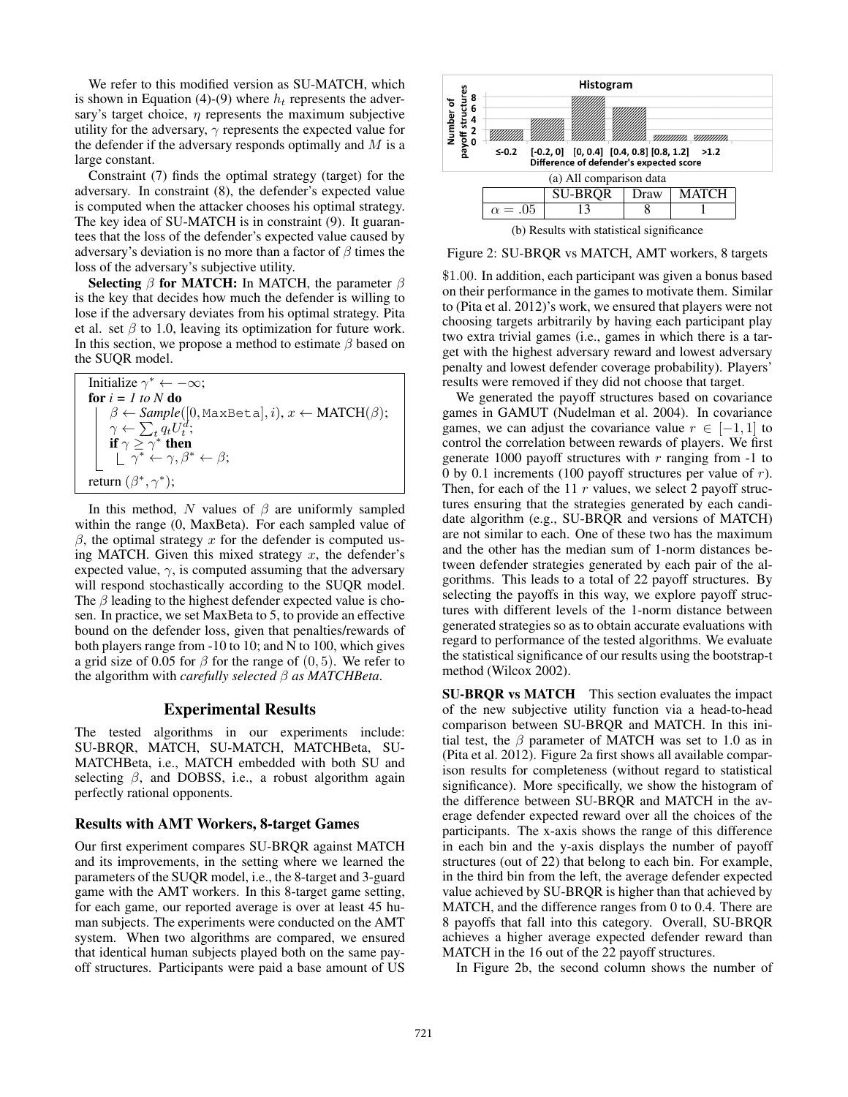We refer to this modified version as SU-MATCH, which is shown in Equation (4)-(9) where  $h_t$  represents the adversary's target choice,  $\eta$  represents the maximum subjective utility for the adversary,  $\gamma$  represents the expected value for the defender if the adversary responds optimally and  $M$  is a large constant.

Constraint (7) finds the optimal strategy (target) for the adversary. In constraint (8), the defender's expected value is computed when the attacker chooses his optimal strategy. The key idea of SU-MATCH is in constraint (9). It guarantees that the loss of the defender's expected value caused by adversary's deviation is no more than a factor of  $\beta$  times the loss of the adversary's subjective utility.

Selecting  $\beta$  for MATCH: In MATCH, the parameter  $\beta$ is the key that decides how much the defender is willing to lose if the adversary deviates from his optimal strategy. Pita et al. set  $\beta$  to 1.0, leaving its optimization for future work. In this section, we propose a method to estimate  $\beta$  based on the SUQR model.

| Initialize $\gamma^* \leftarrow -\infty$ ;                                                                                                                                                                                                                                                               |
|----------------------------------------------------------------------------------------------------------------------------------------------------------------------------------------------------------------------------------------------------------------------------------------------------------|
| for $i = 1$ to N do                                                                                                                                                                                                                                                                                      |
|                                                                                                                                                                                                                                                                                                          |
|                                                                                                                                                                                                                                                                                                          |
|                                                                                                                                                                                                                                                                                                          |
| $\left\{ \begin{array}{l} \beta \leftarrow Sample([0, \texttt{MaxBeta}], i), x \leftarrow \texttt{MATCH}(\beta); \\ \gamma \leftarrow \sum_t q_t U_t^d; \\ \textbf{if } \gamma \geq \gamma^* \textbf{then} \\ \lfloor \gamma^* \leftarrow \gamma, \beta^* \leftarrow \beta; \end{array} \right. \right.$ |
| return $(\beta^*, \gamma^*)$ ;                                                                                                                                                                                                                                                                           |

In this method, N values of  $\beta$  are uniformly sampled within the range (0, MaxBeta). For each sampled value of  $β$ , the optimal strategy x for the defender is computed using MATCH. Given this mixed strategy  $x$ , the defender's expected value,  $\gamma$ , is computed assuming that the adversary will respond stochastically according to the SUQR model. The  $\beta$  leading to the highest defender expected value is chosen. In practice, we set MaxBeta to 5, to provide an effective bound on the defender loss, given that penalties/rewards of both players range from -10 to 10; and N to 100, which gives a grid size of 0.05 for  $\beta$  for the range of (0, 5). We refer to the algorithm with *carefully selected* β *as MATCHBeta*.

### Experimental Results

The tested algorithms in our experiments include: SU-BRQR, MATCH, SU-MATCH, MATCHBeta, SU-MATCHBeta, i.e., MATCH embedded with both SU and selecting  $\beta$ , and DOBSS, i.e., a robust algorithm again perfectly rational opponents.

#### Results with AMT Workers, 8-target Games

Our first experiment compares SU-BRQR against MATCH and its improvements, in the setting where we learned the parameters of the SUQR model, i.e., the 8-target and 3-guard game with the AMT workers. In this 8-target game setting, for each game, our reported average is over at least 45 human subjects. The experiments were conducted on the AMT system. When two algorithms are compared, we ensured that identical human subjects played both on the same payoff structures. Participants were paid a base amount of US



Figure 2: SU-BRQR vs MATCH, AMT workers, 8 targets

\$1.00. In addition, each participant was given a bonus based on their performance in the games to motivate them. Similar to (Pita et al. 2012)'s work, we ensured that players were not choosing targets arbitrarily by having each participant play two extra trivial games (i.e., games in which there is a target with the highest adversary reward and lowest adversary penalty and lowest defender coverage probability). Players' results were removed if they did not choose that target.

We generated the payoff structures based on covariance games in GAMUT (Nudelman et al. 2004). In covariance games, we can adjust the covariance value  $r \in [-1, 1]$  to control the correlation between rewards of players. We first generate 1000 payoff structures with  $r$  ranging from  $-1$  to 0 by 0.1 increments (100 payoff structures per value of  $r$ ). Then, for each of the 11  $r$  values, we select 2 payoff structures ensuring that the strategies generated by each candidate algorithm (e.g., SU-BRQR and versions of MATCH) are not similar to each. One of these two has the maximum and the other has the median sum of 1-norm distances between defender strategies generated by each pair of the algorithms. This leads to a total of 22 payoff structures. By selecting the payoffs in this way, we explore payoff structures with different levels of the 1-norm distance between generated strategies so as to obtain accurate evaluations with regard to performance of the tested algorithms. We evaluate the statistical significance of our results using the bootstrap-t method (Wilcox 2002).

SU-BRQR vs MATCH This section evaluates the impact of the new subjective utility function via a head-to-head comparison between SU-BRQR and MATCH. In this initial test, the  $\beta$  parameter of MATCH was set to 1.0 as in (Pita et al. 2012). Figure 2a first shows all available comparison results for completeness (without regard to statistical significance). More specifically, we show the histogram of the difference between SU-BRQR and MATCH in the average defender expected reward over all the choices of the participants. The x-axis shows the range of this difference in each bin and the y-axis displays the number of payoff structures (out of 22) that belong to each bin. For example, in the third bin from the left, the average defender expected value achieved by SU-BRQR is higher than that achieved by MATCH, and the difference ranges from 0 to 0.4. There are 8 payoffs that fall into this category. Overall, SU-BRQR achieves a higher average expected defender reward than MATCH in the 16 out of the 22 payoff structures.

In Figure 2b, the second column shows the number of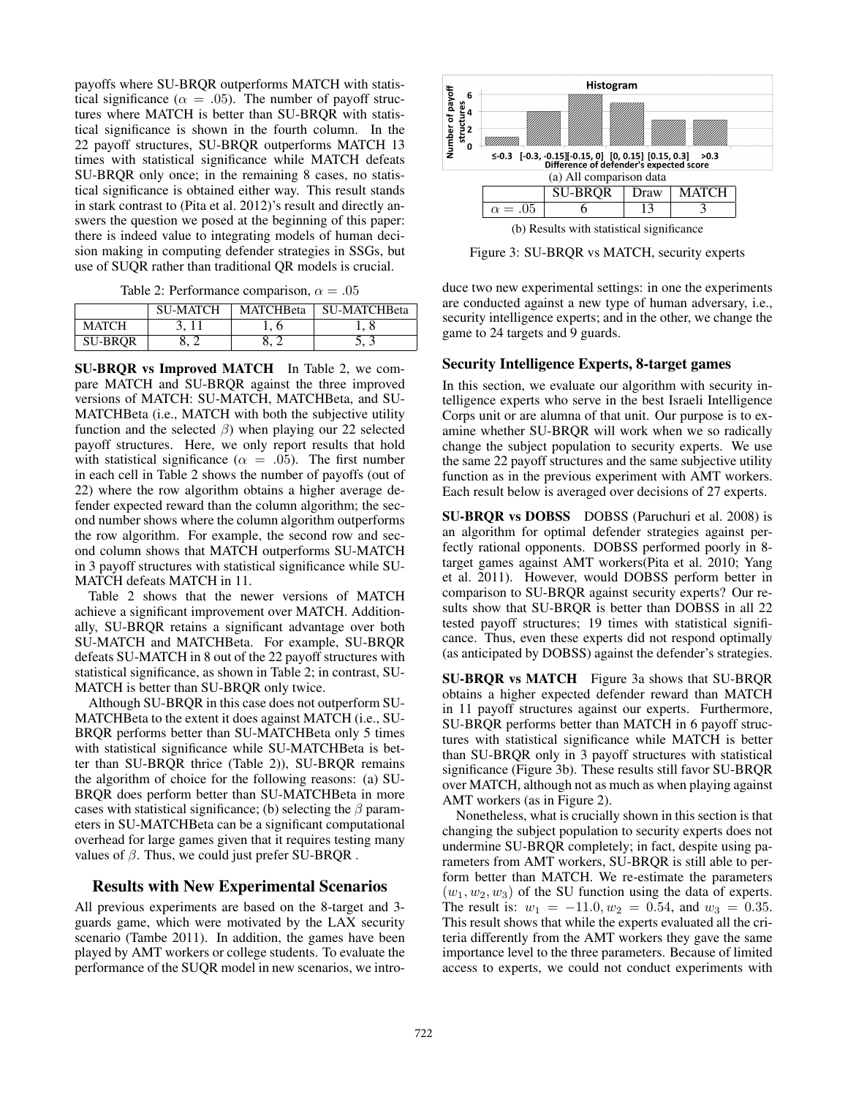payoffs where SU-BRQR outperforms MATCH with statistical significance ( $\alpha = .05$ ). The number of payoff structures where MATCH is better than SU-BRQR with statistical significance is shown in the fourth column. In the 22 payoff structures, SU-BRQR outperforms MATCH 13 times with statistical significance while MATCH defeats SU-BRQR only once; in the remaining 8 cases, no statistical significance is obtained either way. This result stands in stark contrast to (Pita et al. 2012)'s result and directly answers the question we posed at the beginning of this paper: there is indeed value to integrating models of human decision making in computing defender strategies in SSGs, but use of SUQR rather than traditional QR models is crucial.

Table 2: Performance comparison,  $\alpha = .05$ 

|                | <b>SU-MATCH</b> | <b>MATCHBeta</b> | <b>SU-MATCHBeta</b> |
|----------------|-----------------|------------------|---------------------|
| MATCH          |                 |                  |                     |
| <b>SU-BROR</b> |                 |                  |                     |

SU-BRQR vs Improved MATCH In Table 2, we compare MATCH and SU-BRQR against the three improved versions of MATCH: SU-MATCH, MATCHBeta, and SU-MATCHBeta (i.e., MATCH with both the subjective utility function and the selected  $\beta$ ) when playing our 22 selected payoff structures. Here, we only report results that hold with statistical significance ( $\alpha = .05$ ). The first number in each cell in Table 2 shows the number of payoffs (out of 22) where the row algorithm obtains a higher average defender expected reward than the column algorithm; the second number shows where the column algorithm outperforms the row algorithm. For example, the second row and second column shows that MATCH outperforms SU-MATCH in 3 payoff structures with statistical significance while SU-MATCH defeats MATCH in 11.

Table 2 shows that the newer versions of MATCH achieve a significant improvement over MATCH. Additionally, SU-BRQR retains a significant advantage over both SU-MATCH and MATCHBeta. For example, SU-BRQR defeats SU-MATCH in 8 out of the 22 payoff structures with statistical significance, as shown in Table 2; in contrast, SU-MATCH is better than SU-BRQR only twice.

Although SU-BRQR in this case does not outperform SU-MATCHBeta to the extent it does against MATCH (i.e., SU-BRQR performs better than SU-MATCHBeta only 5 times with statistical significance while SU-MATCHBeta is better than SU-BRQR thrice (Table 2)), SU-BRQR remains the algorithm of choice for the following reasons: (a) SU-BRQR does perform better than SU-MATCHBeta in more cases with statistical significance; (b) selecting the  $\beta$  parameters in SU-MATCHBeta can be a significant computational overhead for large games given that it requires testing many values of  $β$ . Thus, we could just prefer SU-BRQR.

# Results with New Experimental Scenarios

All previous experiments are based on the 8-target and 3 guards game, which were motivated by the LAX security scenario (Tambe 2011). In addition, the games have been played by AMT workers or college students. To evaluate the performance of the SUQR model in new scenarios, we intro-



Figure 3: SU-BRQR vs MATCH, security experts

duce two new experimental settings: in one the experiments are conducted against a new type of human adversary, i.e., security intelligence experts; and in the other, we change the game to 24 targets and 9 guards.

## Security Intelligence Experts, 8-target games

In this section, we evaluate our algorithm with security intelligence experts who serve in the best Israeli Intelligence Corps unit or are alumna of that unit. Our purpose is to examine whether SU-BRQR will work when we so radically change the subject population to security experts. We use the same 22 payoff structures and the same subjective utility function as in the previous experiment with AMT workers. Each result below is averaged over decisions of 27 experts.

SU-BRQR vs DOBSS DOBSS (Paruchuri et al. 2008) is an algorithm for optimal defender strategies against perfectly rational opponents. DOBSS performed poorly in 8 target games against AMT workers(Pita et al. 2010; Yang et al. 2011). However, would DOBSS perform better in comparison to SU-BRQR against security experts? Our results show that SU-BRQR is better than DOBSS in all 22 tested payoff structures; 19 times with statistical significance. Thus, even these experts did not respond optimally (as anticipated by DOBSS) against the defender's strategies.

SU-BRQR vs MATCH Figure 3a shows that SU-BRQR obtains a higher expected defender reward than MATCH in 11 payoff structures against our experts. Furthermore, SU-BRQR performs better than MATCH in 6 payoff structures with statistical significance while MATCH is better than SU-BRQR only in 3 payoff structures with statistical significance (Figure 3b). These results still favor SU-BRQR over MATCH, although not as much as when playing against AMT workers (as in Figure 2).

Nonetheless, what is crucially shown in this section is that changing the subject population to security experts does not undermine SU-BRQR completely; in fact, despite using parameters from AMT workers, SU-BRQR is still able to perform better than MATCH. We re-estimate the parameters  $(w_1, w_2, w_3)$  of the SU function using the data of experts. The result is:  $w_1 = -11.0, w_2 = 0.54$ , and  $w_3 = 0.35$ . This result shows that while the experts evaluated all the criteria differently from the AMT workers they gave the same importance level to the three parameters. Because of limited access to experts, we could not conduct experiments with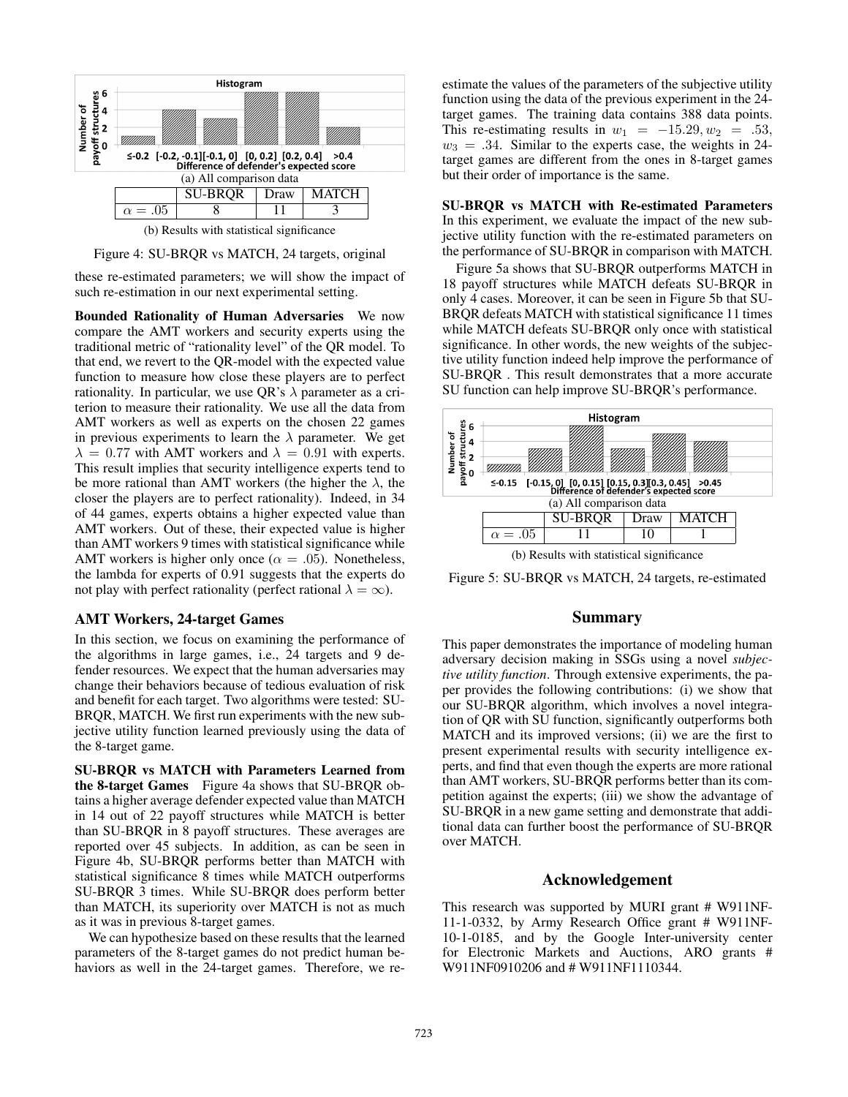

Figure 4: SU-BRQR vs MATCH, 24 targets, original

these re-estimated parameters; we will show the impact of such re-estimation in our next experimental setting.

Bounded Rationality of Human Adversaries We now compare the AMT workers and security experts using the traditional metric of "rationality level" of the QR model. To that end, we revert to the QR-model with the expected value function to measure how close these players are to perfect rationality. In particular, we use QR's  $\lambda$  parameter as a criterion to measure their rationality. We use all the data from AMT workers as well as experts on the chosen 22 games in previous experiments to learn the  $\lambda$  parameter. We get  $\lambda = 0.77$  with AMT workers and  $\lambda = 0.91$  with experts. This result implies that security intelligence experts tend to be more rational than AMT workers (the higher the  $\lambda$ , the closer the players are to perfect rationality). Indeed, in 34 of 44 games, experts obtains a higher expected value than AMT workers. Out of these, their expected value is higher than AMT workers 9 times with statistical significance while AMT workers is higher only once ( $\alpha = .05$ ). Nonetheless, the lambda for experts of 0.91 suggests that the experts do not play with perfect rationality (perfect rational  $\lambda = \infty$ ).

#### AMT Workers, 24-target Games

In this section, we focus on examining the performance of the algorithms in large games, i.e., 24 targets and 9 defender resources. We expect that the human adversaries may change their behaviors because of tedious evaluation of risk and benefit for each target. Two algorithms were tested: SU-BRQR, MATCH. We first run experiments with the new subjective utility function learned previously using the data of the 8-target game.

SU-BRQR vs MATCH with Parameters Learned from the 8-target Games Figure 4a shows that SU-BRQR obtains a higher average defender expected value than MATCH in 14 out of 22 payoff structures while MATCH is better than SU-BRQR in 8 payoff structures. These averages are reported over 45 subjects. In addition, as can be seen in Figure 4b, SU-BRQR performs better than MATCH with statistical significance 8 times while MATCH outperforms SU-BRQR 3 times. While SU-BRQR does perform better than MATCH, its superiority over MATCH is not as much as it was in previous 8-target games.

We can hypothesize based on these results that the learned parameters of the 8-target games do not predict human behaviors as well in the 24-target games. Therefore, we reestimate the values of the parameters of the subjective utility function using the data of the previous experiment in the 24 target games. The training data contains 388 data points. This re-estimating results in  $w_1 = -15.29, w_2 = .53$ ,  $w_3 = .34$ . Similar to the experts case, the weights in 24target games are different from the ones in 8-target games but their order of importance is the same.

SU-BRQR vs MATCH with Re-estimated Parameters In this experiment, we evaluate the impact of the new subjective utility function with the re-estimated parameters on the performance of SU-BRQR in comparison with MATCH.

Figure 5a shows that SU-BRQR outperforms MATCH in 18 payoff structures while MATCH defeats SU-BRQR in only 4 cases. Moreover, it can be seen in Figure 5b that SU-BRQR defeats MATCH with statistical significance 11 times while MATCH defeats SU-BRQR only once with statistical significance. In other words, the new weights of the subjective utility function indeed help improve the performance of SU-BRQR . This result demonstrates that a more accurate SU function can help improve SU-BRQR's performance.



(b) Results with statistical significance

Figure 5: SU-BRQR vs MATCH, 24 targets, re-estimated

# Summary

This paper demonstrates the importance of modeling human adversary decision making in SSGs using a novel *subjective utility function*. Through extensive experiments, the paper provides the following contributions: (i) we show that our SU-BRQR algorithm, which involves a novel integration of QR with SU function, significantly outperforms both MATCH and its improved versions; (ii) we are the first to present experimental results with security intelligence experts, and find that even though the experts are more rational than AMT workers, SU-BRQR performs better than its competition against the experts; (iii) we show the advantage of SU-BRQR in a new game setting and demonstrate that additional data can further boost the performance of SU-BRQR over MATCH.

# Acknowledgement

This research was supported by MURI grant # W911NF-11-1-0332, by Army Research Office grant # W911NF-10-1-0185, and by the Google Inter-university center for Electronic Markets and Auctions, ARO grants # W911NF0910206 and # W911NF1110344.